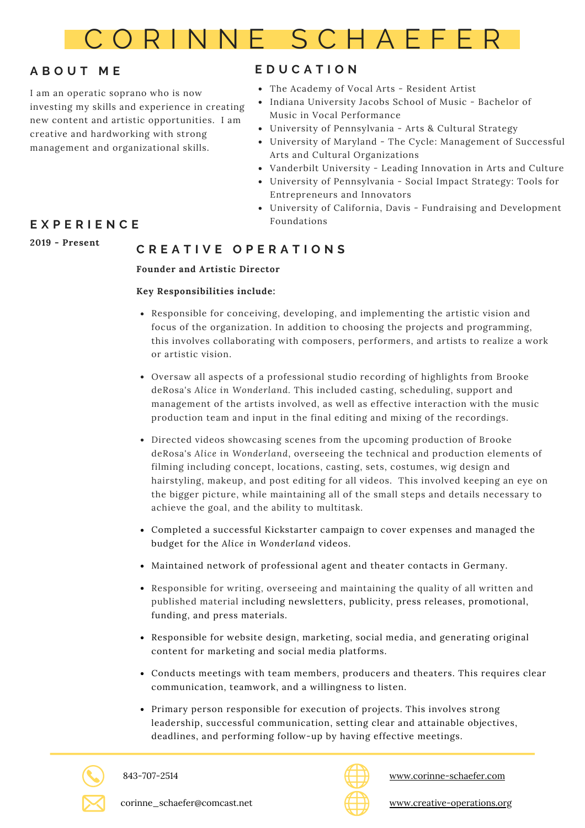

# **A B O U T M E**

I am an operatic soprano who is now investing my skills and experience in creating new content and artistic opportunities. I am creative and hardworking with strong management and organizational skills.

# **E D U C A T I O N**

- The Academy of Vocal Arts Resident Artist
- Indiana University Jacobs School of Music Bachelor of Music in Vocal Performance
- University of Pennsylvania Arts & Cultural Strategy
- University of Maryland The Cycle: Management of Successful Arts and Cultural Organizations
- Vanderbilt University Leading Innovation in Arts and Culture
- University of Pennsylvania Social Impact Strategy: Tools for Entrepreneurs and Innovators
- University of California, Davis Fundraising and Development Foundations

# **E X P E R I E N C E**

**2019 - Present**

# **C R E A T I V E O P E R A T I O N S**

## **Founder and Artistic Director**

## **Key Responsibilities include:**

- Responsible for conceiving, developing, and implementing the artistic vision and focus of the organization. In addition to choosing the projects and programming, this involves collaborating with composers, performers, and artists to realize a work or artistic vision.
- Oversaw all aspects of a professional studio recording of highlights from Brooke deRosa's *Alice in Wonderland.* This included casting, scheduling, support and management of the artists involved, as well as effective interaction with the music production team and input in the final editing and mixing of the recordings.
- Directed videos showcasing scenes from the upcoming production of Brooke deRosa's *Alice in Wonderland*, overseeing the technical and production elements of filming including concept, locations, casting, sets, costumes, wig design and hairstyling, makeup, and post editing for all videos. This involved keeping an eye on the bigger picture, while maintaining all of the small steps and details necessary to achieve the goal, and the ability to multitask.
- Completed a successful Kickstarter campaign to cover expenses and managed the budget for the *Alice in Wonderland* videos.
- Maintained network of professional agent and theater contacts in Germany.
- Responsible for writing, overseeing and maintaining the quality of all written and published material including newsletters, publicity, press releases, promotional, funding, and press materials.
- Responsible for website design, marketing, social media, and generating original content for marketing and social media platforms.
- Conducts meetings with team members, producers and theaters. This requires clear communication, teamwork, and a willingness to listen.
- Primary person responsible for execution of projects. This involves strong leadership, successful communication, setting clear and attainable objectives, deadlines, and performing follow-up by having effective meetings.





[www.corinne-schaefer.com](https://www.corinne-schaefer.com/)

corinne\_schaefer@comcast.net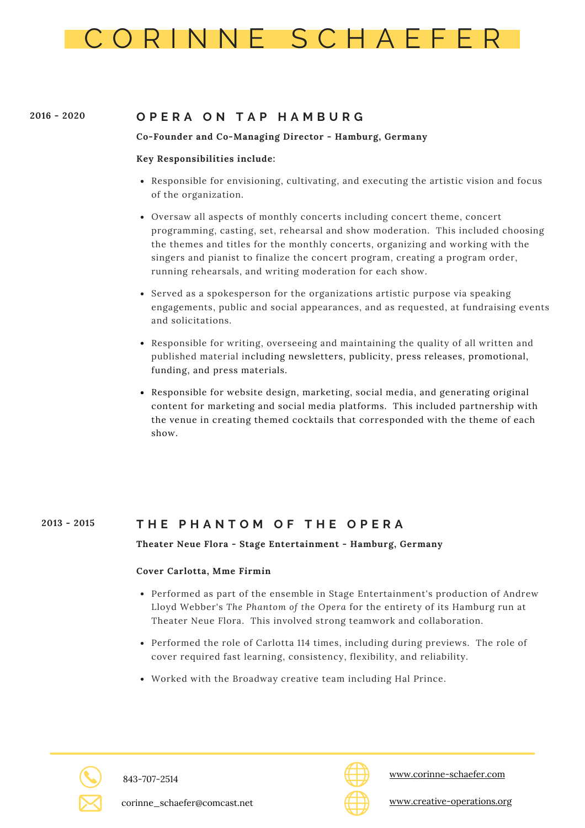

#### **2016 - 2020 O P E R A O N T A P H A M B U R G**

## **Co-Founder and Co-Managing Director - Hamburg, Germany**

## **Key Responsibilities include:**

- Responsible for envisioning, cultivating, and executing the artistic vision and focus of the organization.
- Oversaw all aspects of monthly concerts including concert theme, concert programming, casting, set, rehearsal and show moderation. This included choosing the themes and titles for the monthly concerts, organizing and working with the singers and pianist to finalize the concert program, creating a program order, running rehearsals, and writing moderation for each show.
- Served as a spokesperson for the organizations artistic purpose via speaking engagements, public and social appearances, and as requested, at fundraising events and solicitations.
- Responsible for writing, overseeing and maintaining the quality of all written and published material including newsletters, publicity, press releases, promotional, funding, and press materials.
- Responsible for website design, marketing, social media, and generating original content for marketing and social media platforms. This included partnership with the venue in creating themed cocktails that corresponded with the theme of each show.

#### **T H E P H A N T O M O F T H E O P E R A 2013 - 2015**

**Theater Neue Flora - Stage Entertainment - Hamburg, Germany**

## **Cover Carlotta, Mme Firmin**

- Performed as part of the ensemble in Stage Entertainment's production of Andrew Lloyd Webber's *The Phantom of the Opera* for the entirety of its Hamburg run at Theater Neue Flora. This involved strong teamwork and collaboration.
- Performed the role of Carlotta 114 times, including during previews. The role of cover required fast learning, consistency, flexibility, and reliability.
- Worked with the Broadway creative team including Hal Prince.



843-707-2514



[www.corinne-schaefer.com](https://www.corinne-schaefer.com/)